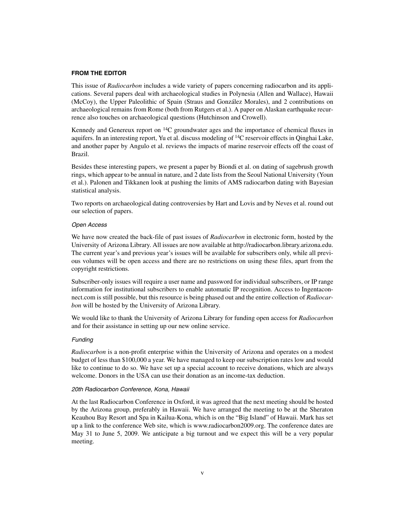## **FROM THE EDITOR**

This issue of *Radiocarbon* includes a wide variety of papers concerning radiocarbon and its applications. Several papers deal with archaeological studies in Polynesia (Allen and Wallace), Hawaii (McCoy), the Upper Paleolithic of Spain (Straus and González Morales), and 2 contributions on archaeological remains from Rome (both from Rutgers et al.). A paper on Alaskan earthquake recurrence also touches on archaeological questions (Hutchinson and Crowell).

Kennedy and Genereux report on  $^{14}C$  groundwater ages and the importance of chemical fluxes in aquifers. In an interesting report, Yu et al. discuss modeling of 14C reservoir effects in Qinghai Lake, and another paper by Angulo et al. reviews the impacts of marine reservoir effects off the coast of Brazil.

Besides these interesting papers, we present a paper by Biondi et al. on dating of sagebrush growth rings, which appear to be annual in nature, and 2 date lists from the Seoul National University (Youn et al.). Palonen and Tikkanen look at pushing the limits of AMS radiocarbon dating with Bayesian statistical analysis.

Two reports on archaeological dating controversies by Hart and Lovis and by Neves et al. round out our selection of papers.

### Open Access

We have now created the back-file of past issues of *Radiocarbon* in electronic form, hosted by the University of Arizona Library. All issues are now available at http://radiocarbon.library.arizona.edu. The current year's and previous year's issues will be available for subscribers only, while all previous volumes will be open access and there are no restrictions on using these files, apart from the copyright restrictions.

Subscriber-only issues will require a user name and password for individual subscribers, or IP range information for institutional subscribers to enable automatic IP recognition. Access to Ingentaconnect.com is still possible, but this resource is being phased out and the entire collection of *Radiocarbon* will be hosted by the University of Arizona Library.

We would like to thank the University of Arizona Library for funding open access for *Radiocarbon* and for their assistance in setting up our new online service.

#### Funding

*Radiocarbon* is a non-profit enterprise within the University of Arizona and operates on a modest budget of less than \$100,000 a year. We have managed to keep our subscription rates low and would like to continue to do so. We have set up a special account to receive donations, which are always welcome. Donors in the USA can use their donation as an income-tax deduction.

## 20th Radiocarbon Conference, Kona, Hawaii

At the last Radiocarbon Conference in Oxford, it was agreed that the next meeting should be hosted by the Arizona group, preferably in Hawaii. We have arranged the meeting to be at the Sheraton Keauhou Bay Resort and Spa in Kailua-Kona, which is on the "Big Island" of Hawaii. Mark has set up a link to the conference Web site, which is www.radiocarbon2009.org. The conference dates are May 31 to June 5, 2009. We anticipate a big turnout and we expect this will be a very popular meeting.